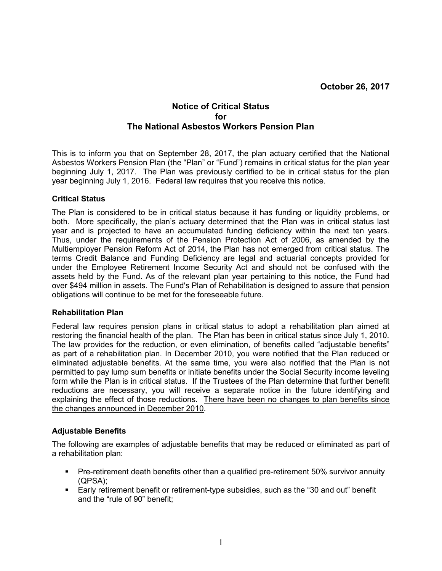# Notice of Critical Status for The National Asbestos Workers Pension Plan

This is to inform you that on September 28, 2017, the plan actuary certified that the National Asbestos Workers Pension Plan (the "Plan" or "Fund") remains in critical status for the plan year beginning July 1, 2017. The Plan was previously certified to be in critical status for the plan year beginning July 1, 2016. Federal law requires that you receive this notice.

## Critical Status

The Plan is considered to be in critical status because it has funding or liquidity problems, or both. More specifically, the plan's actuary determined that the Plan was in critical status last year and is projected to have an accumulated funding deficiency within the next ten years. Thus, under the requirements of the Pension Protection Act of 2006, as amended by the Multiemployer Pension Reform Act of 2014, the Plan has not emerged from critical status. The terms Credit Balance and Funding Deficiency are legal and actuarial concepts provided for under the Employee Retirement Income Security Act and should not be confused with the assets held by the Fund. As of the relevant plan year pertaining to this notice, the Fund had over \$494 million in assets. The Fund's Plan of Rehabilitation is designed to assure that pension obligations will continue to be met for the foreseeable future.

#### Rehabilitation Plan

Federal law requires pension plans in critical status to adopt a rehabilitation plan aimed at restoring the financial health of the plan. The Plan has been in critical status since July 1, 2010. The law provides for the reduction, or even elimination, of benefits called "adjustable benefits" as part of a rehabilitation plan. In December 2010, you were notified that the Plan reduced or eliminated adjustable benefits. At the same time, you were also notified that the Plan is not permitted to pay lump sum benefits or initiate benefits under the Social Security income leveling form while the Plan is in critical status. If the Trustees of the Plan determine that further benefit reductions are necessary, you will receive a separate notice in the future identifying and explaining the effect of those reductions. There have been no changes to plan benefits since the changes announced in December 2010.

## Adjustable Benefits

The following are examples of adjustable benefits that may be reduced or eliminated as part of a rehabilitation plan:

- Pre-retirement death benefits other than a qualified pre-retirement 50% survivor annuity (QPSA);
- Early retirement benefit or retirement-type subsidies, such as the "30 and out" benefit and the "rule of 90" benefit;